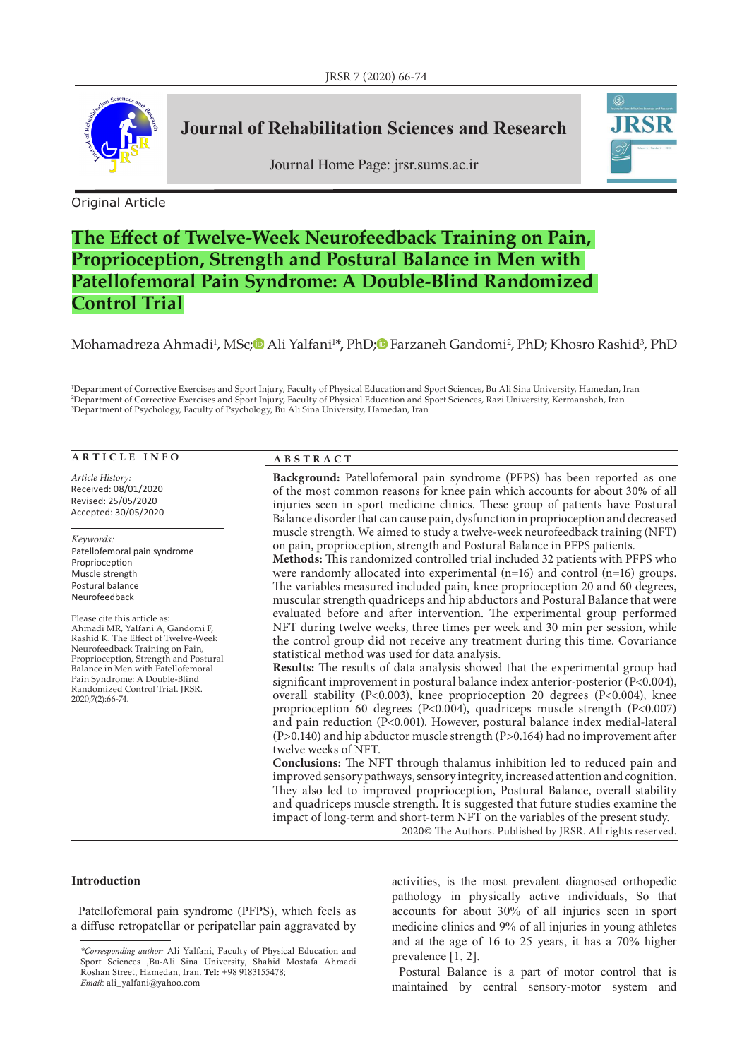

## **Journal of Rehabilitation Sciences and Research**

Journal Home Page: jrsr.sums.ac.ir



Original Article

# **The Effect of Twelve-Week Neurofeedback Training on Pain, Proprioception, Strength and Postural Balance in Men with Patellofemoral Pain Syndrome: A Double-Blind Randomized Control Trial**

## Mohamadreza Ahmadi<sup>1</sup>, MSc;© Ali Yalfani<sup>1</sup>\*, PhD;© Farzaneh Gandomi<sup>2</sup>, PhD[;](https://orcid.org/0000-0002-1098-431X) Khosro Rashid<sup>3</sup>, PhD

1 Department of Corrective Exercises and Sport Injury, Faculty of Physical Education and Sport Sciences, Bu Ali Sina University, Hamedan, Iran 2 Department of Corrective Exercises and Sport Injury, Faculty of Physical Education and Sport Sciences, Razi University, Kermanshah, Iran 3 Department of Psychology, Faculty of Psychology, Bu Ali Sina University, Hamedan, Iran

#### **ARTICLE INFO**

*Article History:* Received: 08/01/2020 Revised: 25/05/2020 Accepted: 30/05/2020

*Keywords:* Patellofemoral pain syndrome Proprioception Muscle strength Postural balance Neurofeedback

Please cite this article as: Ahmadi MR, Yalfani A, Gandomi F, Rashid K. The Effect of Twelve-Week Neurofeedback Training on Pain, Proprioception, Strength and Postural Balance in Men with Patellofemoral Pain Syndrome: A Double-Blind Randomized Control Trial. JRSR. 2020;7(2):66-74.

#### **ABSTRACT**

**Background:** Patellofemoral pain syndrome (PFPS) has been reported as one of the most common reasons for knee pain which accounts for about 30% of all injuries seen in sport medicine clinics. These group of patients have Postural Balance disorder that can cause pain, dysfunction in proprioception and decreased muscle strength. We aimed to study a twelve-week neurofeedback training (NFT) on pain, proprioception, strength and Postural Balance in PFPS patients.

**Methods:** This randomized controlled trial included 32 patients with PFPS who were randomly allocated into experimental (n=16) and control (n=16) groups. The variables measured included pain, knee proprioception 20 and 60 degrees, muscular strength quadriceps and hip abductors and Postural Balance that were evaluated before and after intervention. The experimental group performed NFT during twelve weeks, three times per week and 30 min per session, while the control group did not receive any treatment during this time. Covariance statistical method was used for data analysis.

**Results:** The results of data analysis showed that the experimental group had significant improvement in postural balance index anterior-posterior (P<0.004), overall stability (P<0.003), knee proprioception 20 degrees (P<0.004), knee proprioception 60 degrees (P<0.004), quadriceps muscle strength (P<0.007) and pain reduction (P<0.001). However, postural balance index medial-lateral (P>0.140) and hip abductor muscle strength (P>0.164) had no improvement after twelve weeks of NFT.

**Conclusions:** The NFT through thalamus inhibition led to reduced pain and improved sensory pathways, sensory integrity, increased attention and cognition. They also led to improved proprioception, Postural Balance, overall stability and quadriceps muscle strength. It is suggested that future studies examine the impact of long-term and short-term NFT on the variables of the present study.

2020© The Authors. Published by JRSR. All rights reserved.

## **Introduction**

Patellofemoral pain syndrome (PFPS), which feels as a diffuse retropatellar or peripatellar pain aggravated by activities, is the most prevalent diagnosed orthopedic pathology in physically active individuals, So that accounts for about 30% of all injuries seen in sport medicine clinics and 9% of all injuries in young athletes and at the age of 16 to 25 years, it has a 70% higher prevalence [1, 2].

Postural Balance is a part of motor control that is maintained by central sensory-motor system and

*<sup>\*</sup>Corresponding author:* Ali Yalfani, Faculty of Physical Education and Sport Sciences ,Bu-Ali Sina University, Shahid Mostafa Ahmadi Roshan Street, Hamedan, Iran. Tel: +98 9183155478; *Email*: ali\_yalfani@yahoo.com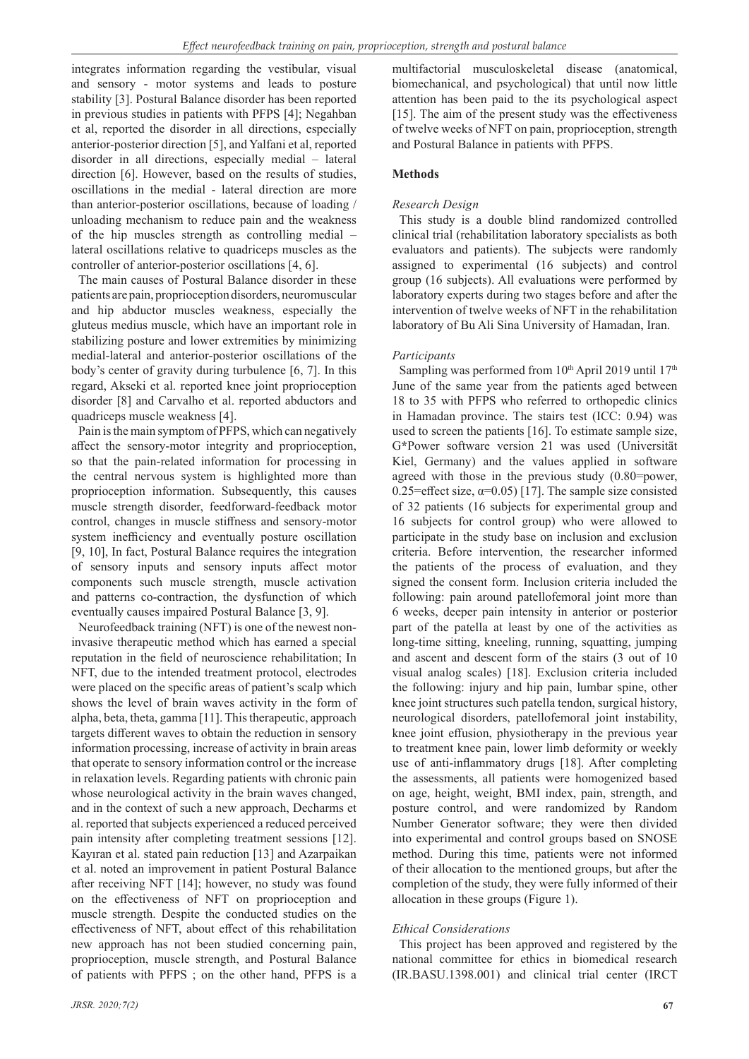integrates information regarding the vestibular, visual and sensory - motor systems and leads to posture stability [3]. Postural Balance disorder has been reported in previous studies in patients with PFPS [4]; Negahban et al, reported the disorder in all directions, especially anterior-posterior direction [5], and Yalfani et al, reported disorder in all directions, especially medial – lateral direction [6]. However, based on the results of studies, oscillations in the medial - lateral direction are more than anterior-posterior oscillations, because of loading / unloading mechanism to reduce pain and the weakness of the hip muscles strength as controlling medial – lateral oscillations relative to quadriceps muscles as the controller of anterior-posterior oscillations [4, 6].

The main causes of Postural Balance disorder in these patients are pain, proprioception disorders, neuromuscular and hip abductor muscles weakness, especially the gluteus medius muscle, which have an important role in stabilizing posture and lower extremities by minimizing medial-lateral and anterior-posterior oscillations of the body's center of gravity during turbulence [6, 7]. In this regard, Akseki et al. reported knee joint proprioception disorder [8] and Carvalho et al. reported abductors and quadriceps muscle weakness [4].

Pain is the main symptom of PFPS, which can negatively affect the sensory-motor integrity and proprioception, so that the pain-related information for processing in the central nervous system is highlighted more than proprioception information. Subsequently, this causes muscle strength disorder, feedforward-feedback motor control, changes in muscle stiffness and sensory-motor system inefficiency and eventually posture oscillation [9, 10], In fact, Postural Balance requires the integration of sensory inputs and sensory inputs affect motor components such muscle strength, muscle activation and patterns co-contraction, the dysfunction of which eventually causes impaired Postural Balance [3, 9].

Neurofeedback training (NFT) is one of the newest noninvasive therapeutic method which has earned a special reputation in the field of neuroscience rehabilitation; In NFT, due to the intended treatment protocol, electrodes were placed on the specific areas of patient's scalp which shows the level of brain waves activity in the form of alpha, beta, theta, gamma [11]. This therapeutic, approach targets different waves to obtain the reduction in sensory information processing, increase of activity in brain areas that operate to sensory information control or the increase in relaxation levels. Regarding patients with chronic pain whose neurological activity in the brain waves changed, and in the context of such a new approach, Decharms et al. reported that subjects experienced a reduced perceived pain intensity after completing treatment sessions [12]. Kayıran et al. stated pain reduction [13] and Azarpaikan et al. noted an improvement in patient Postural Balance after receiving NFT [14]; however, no study was found on the effectiveness of NFT on proprioception and muscle strength. Despite the conducted studies on the effectiveness of NFT, about effect of this rehabilitation new approach has not been studied concerning pain, proprioception, muscle strength, and Postural Balance of patients with PFPS ; on the other hand, PFPS is a

multifactorial musculoskeletal disease (anatomical, biomechanical, and psychological) that until now little attention has been paid to the its psychological aspect [15]. The aim of the present study was the effectiveness of twelve weeks of NFT on pain, proprioception, strength and Postural Balance in patients with PFPS.

## **Methods**

## *Research Design*

This study is a double blind randomized controlled clinical trial (rehabilitation laboratory specialists as both evaluators and patients). The subjects were randomly assigned to experimental (16 subjects) and control group (16 subjects). All evaluations were performed by laboratory experts during two stages before and after the intervention of twelve weeks of NFT in the rehabilitation laboratory of Bu Ali Sina University of Hamadan, Iran.

### *Participants*

Sampling was performed from  $10<sup>th</sup>$  April 2019 until  $17<sup>th</sup>$ June of the same year from the patients aged between 18 to 35 with PFPS who referred to orthopedic clinics in Hamadan province. The stairs test (ICC: 0.94) was used to screen the patients [16]. To estimate sample size, G**\***Power software version 21 was used (Universität Kiel, Germany) and the values applied in software agreed with those in the previous study (0.80=power, 0.25=effect size,  $\alpha$ =0.05) [17]. The sample size consisted of 32 patients (16 subjects for experimental group and 16 subjects for control group) who were allowed to participate in the study base on inclusion and exclusion criteria. Before intervention, the researcher informed the patients of the process of evaluation, and they signed the consent form. Inclusion criteria included the following: pain around patellofemoral joint more than 6 weeks, deeper pain intensity in anterior or posterior part of the patella at least by one of the activities as long-time sitting, kneeling, running, squatting, jumping and ascent and descent form of the stairs (3 out of 10 visual analog scales) [18]. Exclusion criteria included the following: injury and hip pain, lumbar spine, other knee joint structures such patella tendon, surgical history, neurological disorders, patellofemoral joint instability, knee joint effusion, physiotherapy in the previous year to treatment knee pain, lower limb deformity or weekly use of anti-inflammatory drugs [18]. After completing the assessments, all patients were homogenized based on age, height, weight, BMI index, pain, strength, and posture control, and were randomized by Random Number Generator software; they were then divided into experimental and control groups based on SNOSE method. During this time, patients were not informed of their allocation to the mentioned groups, but after the completion of the study, they were fully informed of their allocation in these groups (Figure 1).

## *Ethical Considerations*

This project has been approved and registered by the national committee for ethics in biomedical research (IR.BASU.1398.001) and clinical trial center (IRCT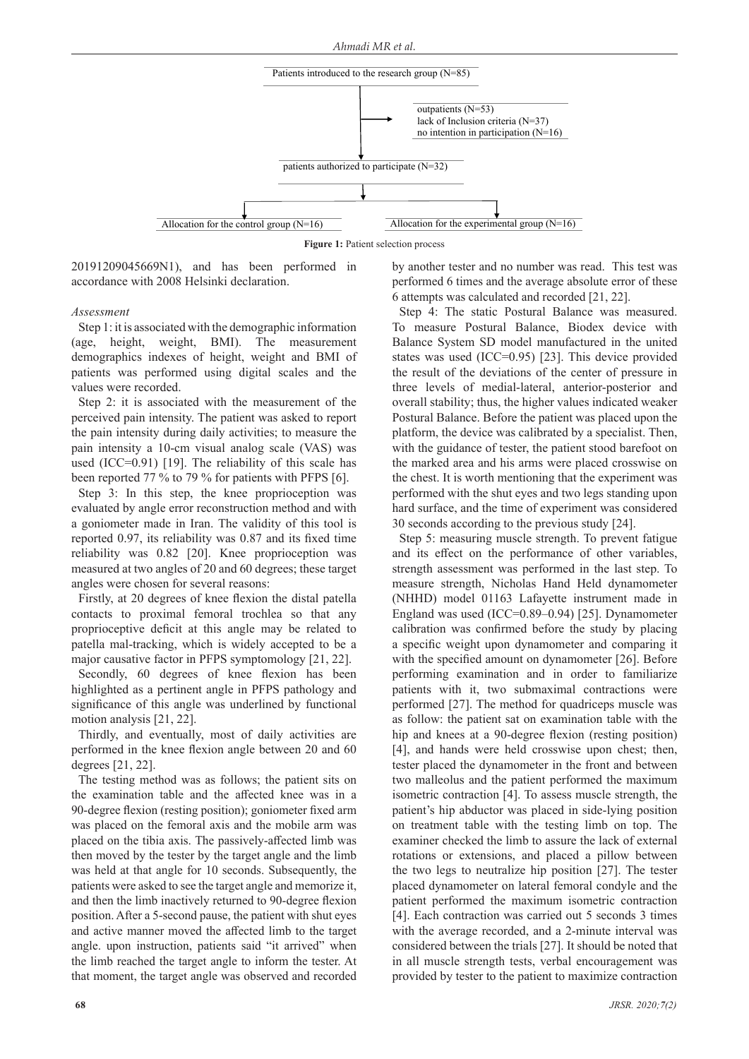

**Figure 1:** Patient selection process

20191209045669N1), and has been performed in accordance with 2008 Helsinki declaration.

#### *Assessment*

Step 1: it is associated with the demographic information (age, height, weight, BMI). The measurement demographics indexes of height, weight and BMI of patients was performed using digital scales and the values were recorded.

Step 2: it is associated with the measurement of the perceived pain intensity. The patient was asked to report the pain intensity during daily activities; to measure the pain intensity a 10-cm visual analog scale (VAS) was used (ICC=0.91) [19]. The reliability of this scale has been reported 77 % to 79 % for patients with PFPS [6].

Step 3: In this step, the knee proprioception was evaluated by angle error reconstruction method and with a goniometer made in Iran. The validity of this tool is reported 0.97, its reliability was 0.87 and its fixed time reliability was 0.82 [20]. Knee proprioception was measured at two angles of 20 and 60 degrees; these target angles were chosen for several reasons:

Firstly, at 20 degrees of knee flexion the distal patella contacts to proximal femoral trochlea so that any proprioceptive deficit at this angle may be related to patella mal-tracking, which is widely accepted to be a major causative factor in PFPS symptomology [21, 22].

Secondly, 60 degrees of knee flexion has been highlighted as a pertinent angle in PFPS pathology and significance of this angle was underlined by functional motion analysis [21, 22].

Thirdly, and eventually, most of daily activities are performed in the knee flexion angle between 20 and 60 degrees [21, 22].

The testing method was as follows; the patient sits on the examination table and the affected knee was in a 90-degree flexion (resting position); goniometer fixed arm was placed on the femoral axis and the mobile arm was placed on the tibia axis. The passively-affected limb was then moved by the tester by the target angle and the limb was held at that angle for 10 seconds. Subsequently, the patients were asked to see the target angle and memorize it, and then the limb inactively returned to 90-degree flexion position. After a 5-second pause, the patient with shut eyes and active manner moved the affected limb to the target angle. upon instruction, patients said "it arrived" when the limb reached the target angle to inform the tester. At that moment, the target angle was observed and recorded

by another tester and no number was read. This test was performed 6 times and the average absolute error of these 6 attempts was calculated and recorded [21, 22].

Step 4: The static Postural Balance was measured. To measure Postural Balance, Biodex device with Balance System SD model manufactured in the united states was used (ICC=0.95) [23]. This device provided the result of the deviations of the center of pressure in three levels of medial-lateral, anterior-posterior and overall stability; thus, the higher values indicated weaker Postural Balance. Before the patient was placed upon the platform, the device was calibrated by a specialist. Then, with the guidance of tester, the patient stood barefoot on the marked area and his arms were placed crosswise on the chest. It is worth mentioning that the experiment was performed with the shut eyes and two legs standing upon hard surface, and the time of experiment was considered 30 seconds according to the previous study [24].

Step 5: measuring muscle strength. To prevent fatigue and its effect on the performance of other variables, strength assessment was performed in the last step. To measure strength, Nicholas Hand Held dynamometer (NHHD) model 01163 Lafayette instrument made in England was used (ICC=0.89–0.94) [25]. Dynamometer calibration was confirmed before the study by placing a specific weight upon dynamometer and comparing it with the specified amount on dynamometer [26]. Before performing examination and in order to familiarize patients with it, two submaximal contractions were performed [27]. The method for quadriceps muscle was as follow: the patient sat on examination table with the hip and knees at a 90-degree flexion (resting position) [4], and hands were held crosswise upon chest; then, tester placed the dynamometer in the front and between two malleolus and the patient performed the maximum isometric contraction [4]. To assess muscle strength, the patient's hip abductor was placed in side-lying position on treatment table with the testing limb on top. The examiner checked the limb to assure the lack of external rotations or extensions, and placed a pillow between the two legs to neutralize hip position [27]. The tester placed dynamometer on lateral femoral condyle and the patient performed the maximum isometric contraction [4]. Each contraction was carried out 5 seconds 3 times with the average recorded, and a 2-minute interval was considered between the trials [27]. It should be noted that in all muscle strength tests, verbal encouragement was provided by tester to the patient to maximize contraction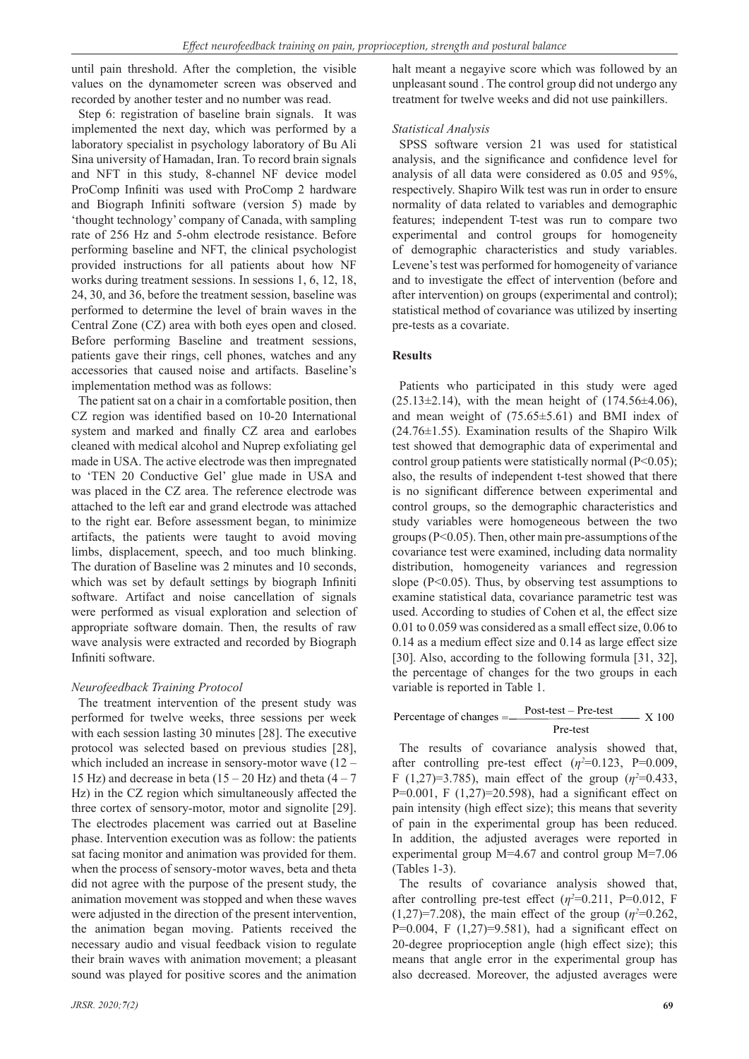until pain threshold. After the completion, the visible values on the dynamometer screen was observed and recorded by another tester and no number was read.

Step 6: registration of baseline brain signals. It was implemented the next day, which was performed by a laboratory specialist in psychology laboratory of Bu Ali Sina university of Hamadan, Iran. To record brain signals and NFT in this study, 8-channel NF device model ProComp Infiniti was used with ProComp 2 hardware and Biograph Infiniti software (version 5) made by 'thought technology' company of Canada, with sampling rate of 256 Hz and 5-ohm electrode resistance. Before performing baseline and NFT, the clinical psychologist provided instructions for all patients about how NF works during treatment sessions. In sessions 1, 6, 12, 18, 24, 30, and 36, before the treatment session, baseline was performed to determine the level of brain waves in the Central Zone (CZ) area with both eyes open and closed. Before performing Baseline and treatment sessions, patients gave their rings, cell phones, watches and any accessories that caused noise and artifacts. Baseline's implementation method was as follows:

The patient sat on a chair in a comfortable position, then CZ region was identified based on 10-20 International system and marked and finally CZ area and earlobes cleaned with medical alcohol and Nuprep exfoliating gel made in USA. The active electrode was then impregnated to 'TEN 20 Conductive Gel' glue made in USA and was placed in the CZ area. The reference electrode was attached to the left ear and grand electrode was attached to the right ear. Before assessment began, to minimize artifacts, the patients were taught to avoid moving limbs, displacement, speech, and too much blinking. The duration of Baseline was 2 minutes and 10 seconds, which was set by default settings by biograph Infiniti software. Artifact and noise cancellation of signals were performed as visual exploration and selection of appropriate software domain. Then, the results of raw wave analysis were extracted and recorded by Biograph Infiniti software.

#### *Neurofeedback Training Protocol*

The treatment intervention of the present study was performed for twelve weeks, three sessions per week with each session lasting 30 minutes [28]. The executive protocol was selected based on previous studies [28], which included an increase in sensory-motor wave (12 – 15 Hz) and decrease in beta  $(15 - 20$  Hz) and theta  $(4 - 7)$ Hz) in the CZ region which simultaneously affected the three cortex of sensory-motor, motor and signolite [29]. The electrodes placement was carried out at Baseline phase. Intervention execution was as follow: the patients sat facing monitor and animation was provided for them. when the process of sensory-motor waves, beta and theta did not agree with the purpose of the present study, the animation movement was stopped and when these waves were adjusted in the direction of the present intervention, the animation began moving. Patients received the necessary audio and visual feedback vision to regulate their brain waves with animation movement; a pleasant sound was played for positive scores and the animation halt meant a negayive score which was followed by an unpleasant sound . The control group did not undergo any treatment for twelve weeks and did not use painkillers.

#### *Statistical Analysis*

SPSS software version 21 was used for statistical analysis, and the significance and confidence level for analysis of all data were considered as 0.05 and 95%, respectively. Shapiro Wilk test was run in order to ensure normality of data related to variables and demographic features; independent T-test was run to compare two experimental and control groups for homogeneity of demographic characteristics and study variables. Levene's test was performed for homogeneity of variance and to investigate the effect of intervention (before and after intervention) on groups (experimental and control); statistical method of covariance was utilized by inserting pre-tests as a covariate.

### **Results**

Patients who participated in this study were aged  $(25.13\pm2.14)$ , with the mean height of  $(174.56\pm4.06)$ , and mean weight of (75.65±5.61) and BMI index of (24.76±1.55). Examination results of the Shapiro Wilk test showed that demographic data of experimental and control group patients were statistically normal (P<0.05); also, the results of independent t-test showed that there is no significant difference between experimental and control groups, so the demographic characteristics and study variables were homogeneous between the two groups (P<0.05). Then, other main pre-assumptions of the covariance test were examined, including data normality distribution, homogeneity variances and regression slope ( $P<0.05$ ). Thus, by observing test assumptions to examine statistical data, covariance parametric test was used. According to studies of Cohen et al, the effect size 0.01 to 0.059 was considered as a small effect size, 0.06 to 0.14 as a medium effect size and 0.14 as large effect size [30]. Also, according to the following formula [31, 32], the percentage of changes for the two groups in each variable is reported in Table 1.

| Percentage of changes = | $Post-test - Pre-test$ | X 100 |
|-------------------------|------------------------|-------|
|                         | Pre-test               |       |

The results of covariance analysis showed that, after controlling pre-test effect  $(\eta^2=0.123, \text{ P}=0.009, \text{ P}=0.009)$ F (1,27)=3.785), main effect of the group ( $\eta^2$ =0.433, P=0.001, F  $(1,27)$ =20.598), had a significant effect on pain intensity (high effect size); this means that severity of pain in the experimental group has been reduced. In addition, the adjusted averages were reported in experimental group M=4.67 and control group M=7.06 (Tables 1-3).

The results of covariance analysis showed that, after controlling pre-test effect  $(\eta^2=0.211, P=0.012, F)$  $(1,27)$ =7.208), the main effect of the group ( $\eta$ <sup>2=0.262</sup>, P=0.004, F  $(1,27)$ =9.581), had a significant effect on 20-degree proprioception angle (high effect size); this means that angle error in the experimental group has also decreased. Moreover, the adjusted averages were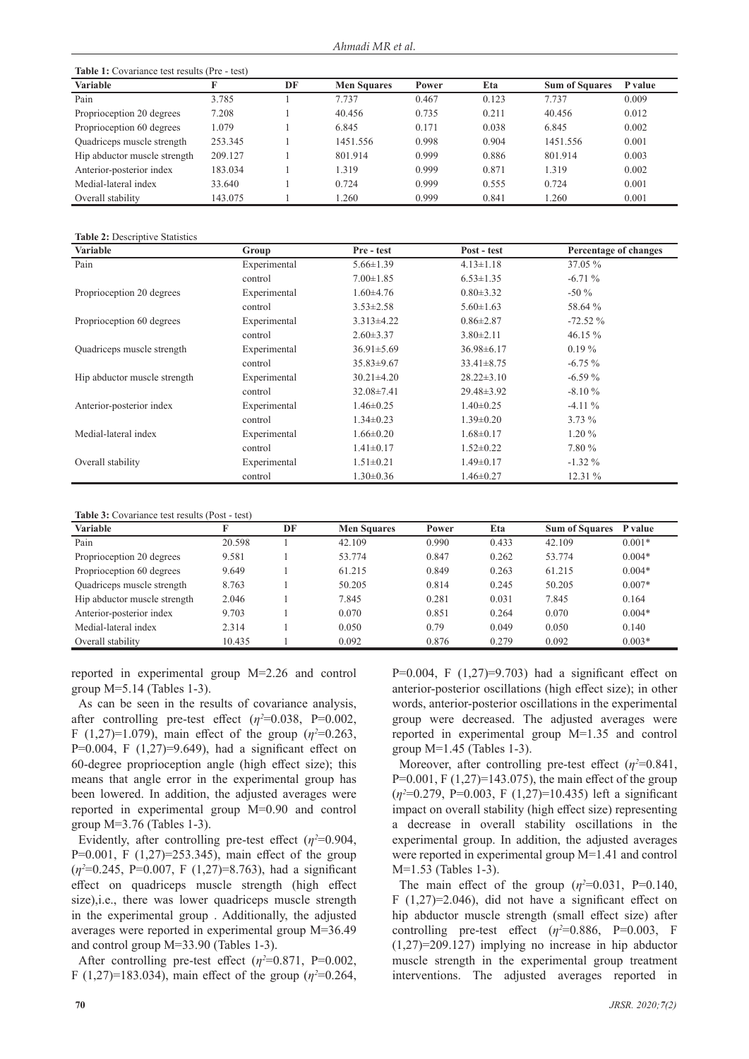| <b>Table 1:</b> Covariance test results (Pre - test) |         |    |                    |       |       |                       |         |
|------------------------------------------------------|---------|----|--------------------|-------|-------|-----------------------|---------|
| <b>Variable</b>                                      |         | DF | <b>Men Squares</b> | Power | Eta   | <b>Sum of Squares</b> | P value |
| Pain                                                 | 3.785   |    | 7.737              | 0.467 | 0.123 | 7.737                 | 0.009   |
| Proprioception 20 degrees                            | 7.208   |    | 40.456             | 0.735 | 0.211 | 40.456                | 0.012   |
| Proprioception 60 degrees                            | 1.079   |    | 6.845              | 0.171 | 0.038 | 6.845                 | 0.002   |
| Quadriceps muscle strength                           | 253.345 |    | 1451.556           | 0.998 | 0.904 | 1451.556              | 0.001   |
| Hip abductor muscle strength                         | 209.127 |    | 801.914            | 0.999 | 0.886 | 801.914               | 0.003   |
| Anterior-posterior index                             | 183.034 |    | 1.319              | 0.999 | 0.871 | 1.319                 | 0.002   |
| Medial-lateral index                                 | 33.640  |    | 0.724              | 0.999 | 0.555 | 0.724                 | 0.001   |
| Overall stability                                    | 143.075 |    | 1.260              | 0.999 | 0.841 | 1.260                 | 0.001   |

**Table 2:** Descriptive Statistics

| <b>Variable</b>              | Group        | Pre - test       | Post - test      | Percentage of changes |
|------------------------------|--------------|------------------|------------------|-----------------------|
| Pain                         | Experimental | $5.66 \pm 1.39$  | $4.13 \pm 1.18$  | 37.05 %               |
|                              | control      | $7.00 \pm 1.85$  | $6.53 \pm 1.35$  | $-6.71%$              |
| Proprioception 20 degrees    | Experimental | $1.60\pm4.76$    | $0.80 \pm 3.32$  | $-50\%$               |
|                              | control      | $3.53 \pm 2.58$  | $5.60 \pm 1.63$  | 58.64 %               |
| Proprioception 60 degrees    | Experimental | $3.313\pm4.22$   | $0.86 \pm 2.87$  | $-72.52%$             |
|                              | control      | $2.60 \pm 3.37$  | $3.80 \pm 2.11$  | 46.15 %               |
| Quadriceps muscle strength   | Experimental | $36.91 \pm 5.69$ | $36.98\pm 6.17$  | $0.19\%$              |
|                              | control      | $35.83 \pm 9.67$ | $33.41 \pm 8.75$ | $-6.75%$              |
| Hip abductor muscle strength | Experimental | $30.21 \pm 4.20$ | $28.22 \pm 3.10$ | $-6.59%$              |
|                              | control      | $32.08 \pm 7.41$ | $29.48 \pm 3.92$ | $-8.10%$              |
| Anterior-posterior index     | Experimental | $1.46 \pm 0.25$  | $1.40 \pm 0.25$  | $-4.11\%$             |
|                              | control      | $1.34 \pm 0.23$  | $1.39 \pm 0.20$  | $3.73 \%$             |
| Medial-lateral index         | Experimental | $1.66 \pm 0.20$  | $1.68 \pm 0.17$  | $1.20\%$              |
|                              | control      | $1.41 \pm 0.17$  | $1.52 \pm 0.22$  | 7.80 %                |
| Overall stability            | Experimental | $1.51 \pm 0.21$  | $1.49 \pm 0.17$  | $-1.32\%$             |
|                              | control      | $1.30 \pm 0.36$  | $1.46 \pm 0.27$  | 12.31 %               |

#### **Table 3:** Covariance test results (Post - test)

| AMMAN MI UU IMAANAAN INUVANUMANU IA UUVII INUVI |        |    |                    |       |       |                       |          |
|-------------------------------------------------|--------|----|--------------------|-------|-------|-----------------------|----------|
| Variable                                        |        | DF | <b>Men Squares</b> | Power | Eta   | <b>Sum of Squares</b> | P value  |
| Pain                                            | 20.598 |    | 42.109             | 0.990 | 0.433 | 42.109                | $0.001*$ |
| Proprioception 20 degrees                       | 9.581  |    | 53.774             | 0.847 | 0.262 | 53.774                | $0.004*$ |
| Proprioception 60 degrees                       | 9.649  |    | 61.215             | 0.849 | 0.263 | 61.215                | $0.004*$ |
| Quadriceps muscle strength                      | 8.763  |    | 50.205             | 0.814 | 0.245 | 50.205                | $0.007*$ |
| Hip abductor muscle strength                    | 2.046  |    | 7.845              | 0.281 | 0.031 | 7.845                 | 0.164    |
| Anterior-posterior index                        | 9.703  |    | 0.070              | 0.851 | 0.264 | 0.070                 | $0.004*$ |
| Medial-lateral index                            | 2.314  |    | 0.050              | 0.79  | 0.049 | 0.050                 | 0.140    |
| Overall stability                               | 10.435 |    | 0.092              | 0.876 | 0.279 | 0.092                 | $0.003*$ |

reported in experimental group M=2.26 and control group M=5.14 (Tables 1-3).

As can be seen in the results of covariance analysis, after controlling pre-test effect  $(\eta^2=0.038, \text{ P}=0.002, \text{ P}=0.002)$ F (1,27)=1.079), main effect of the group ( $\eta^2$ =0.263, P=0.004, F (1,27)=9.649), had a significant effect on 60-degree proprioception angle (high effect size); this means that angle error in the experimental group has been lowered. In addition, the adjusted averages were reported in experimental group M=0.90 and control group M=3.76 (Tables 1-3).

Evidently, after controlling pre-test effect  $(\eta^2=0.904,$ P=0.001, F (1,27)=253.345), main effect of the group (*η<sup>2</sup>* =0.245, P=0.007, F (1,27)=8.763), had a significant effect on quadriceps muscle strength (high effect size),i.e., there was lower quadriceps muscle strength in the experimental group . Additionally, the adjusted averages were reported in experimental group M=36.49 and control group M=33.90 (Tables 1-3).

After controlling pre-test effect  $(\eta^2=0.871, P=0.002,$ F (1,27)=183.034), main effect of the group ( $\eta^2$ =0.264, P=0.004, F  $(1,27)$ =9.703) had a significant effect on anterior-posterior oscillations (high effect size); in other words, anterior-posterior oscillations in the experimental group were decreased. The adjusted averages were reported in experimental group M=1.35 and control group M=1.45 (Tables 1-3).

Moreover, after controlling pre-test effect  $(\eta^2=0.841,$  $P=0.001$ , F  $(1,27)=143.075$ , the main effect of the group (*η<sup>2</sup>* =0.279, P=0.003, F (1,27)=10.435) left a significant impact on overall stability (high effect size) representing a decrease in overall stability oscillations in the experimental group. In addition, the adjusted averages were reported in experimental group M=1.41 and control M=1.53 (Tables 1-3).

The main effect of the group  $(\eta^2=0.031, \text{ P}=0.140, \text{ P}=0.140)$ F  $(1,27)=2.046$ , did not have a significant effect on hip abductor muscle strength (small effect size) after controlling pre-test effect  $(\eta^2=0.886, P=0.003, F)$ (1,27)=209.127) implying no increase in hip abductor muscle strength in the experimental group treatment interventions. The adjusted averages reported in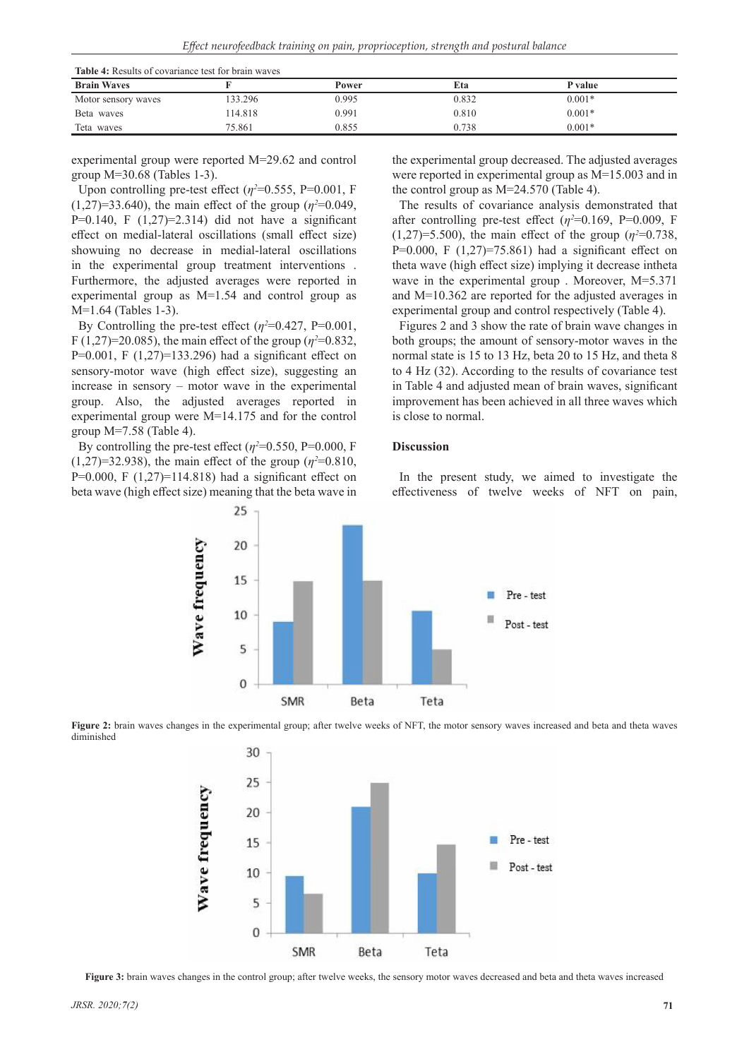**Table 4:** Results of covariance test for brain waves

| THE 19 TEACHER OF COVERTING CONTROL OF ALL MAY CO. |        |       |       |          |  |  |
|----------------------------------------------------|--------|-------|-------|----------|--|--|
| <b>Brain Waves</b>                                 |        | Power | Eta   | P value  |  |  |
| Motor sensory waves                                | 33.296 | 0.995 | 0.832 | $0.001*$ |  |  |
| Beta waves                                         | 14.818 | 0.991 | 0.810 | $0.001*$ |  |  |
| Teta waves                                         | 75.861 | 0.855 | 0.738 | $0.001*$ |  |  |

experimental group were reported M=29.62 and control group M=30.68 (Tables 1-3).

Upon controlling pre-test effect  $(\eta^2 = 0.555, P = 0.001, F)$  $(1,27)=33.640$ , the main effect of the group ( $\eta^2=0.049$ , P=0.140, F  $(1,27)$ =2.314) did not have a significant effect on medial-lateral oscillations (small effect size) showuing no decrease in medial-lateral oscillations in the experimental group treatment interventions . Furthermore, the adjusted averages were reported in experimental group as M=1.54 and control group as M=1.64 (Tables 1-3).

By Controlling the pre-test effect  $(\eta^2 = 0.427, P = 0.001,$  $F(1,27)=20.085$ , the main effect of the group ( $\eta^2=0.832$ , P=0.001, F  $(1,27)$ =133.296) had a significant effect on sensory-motor wave (high effect size), suggesting an increase in sensory – motor wave in the experimental group. Also, the adjusted averages reported in experimental group were M=14.175 and for the control group M=7.58 (Table 4).

By controlling the pre-test effect  $(\eta^2 = 0.550, P = 0.000, F)$  $(1,27)$ =32.938), the main effect of the group ( $\eta^2$ =0.810, P=0.000, F  $(1,27)$ =114.818) had a significant effect on beta wave (high effect size) meaning that the beta wave in the experimental group decreased. The adjusted averages were reported in experimental group as M=15.003 and in the control group as M=24.570 (Table 4).

The results of covariance analysis demonstrated that after controlling pre-test effect  $(\eta^2=0.169, P=0.009, F)$  $(1,27) = 5.500$ , the main effect of the group  $(\eta^2 = 0.738,$ P=0.000, F  $(1,27)$ =75.861) had a significant effect on theta wave (high effect size) implying it decrease intheta wave in the experimental group . Moreover, M=5.371 and M=10.362 are reported for the adjusted averages in experimental group and control respectively (Table 4).

Figures 2 and 3 show the rate of brain wave changes in both groups; the amount of sensory-motor waves in the normal state is 15 to 13 Hz, beta 20 to 15 Hz, and theta 8 to 4 Hz (32). According to the results of covariance test in Table 4 and adjusted mean of brain waves, significant improvement has been achieved in all three waves which is close to normal.

## **Discussion**

In the present study, we aimed to investigate the effectiveness of twelve weeks of NFT on pain,







**Figure 3:** brain waves changes in the control group; after twelve weeks, the sensory motor waves decreased and beta and theta waves increased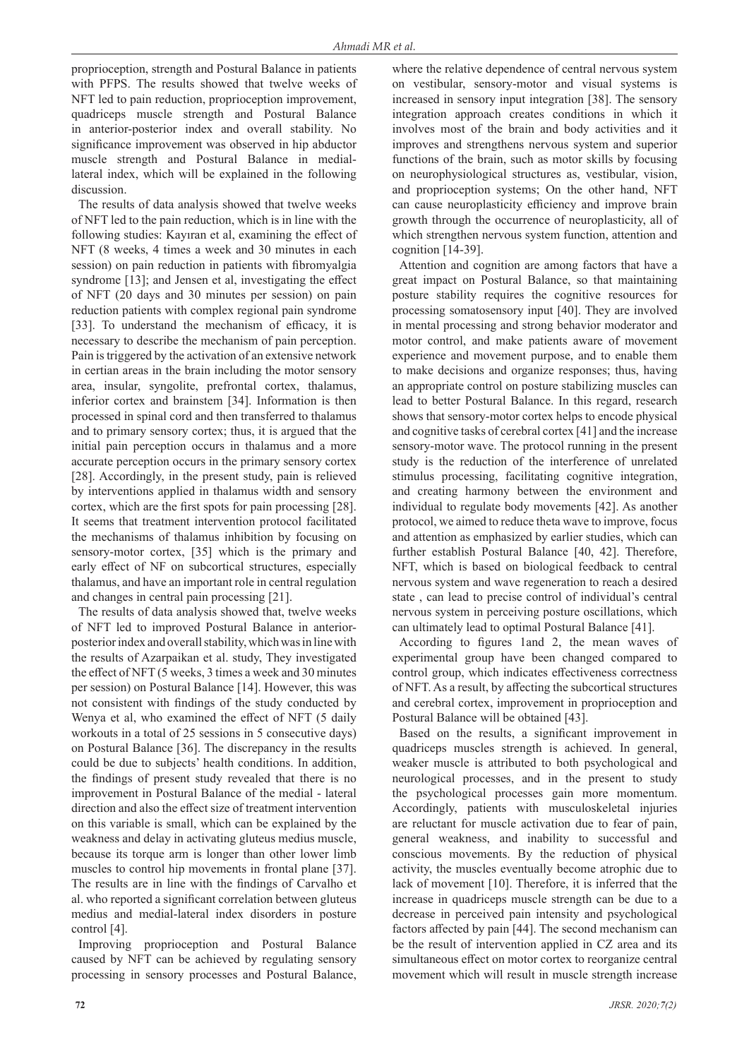proprioception, strength and Postural Balance in patients with PFPS. The results showed that twelve weeks of NFT led to pain reduction, proprioception improvement, quadriceps muscle strength and Postural Balance in anterior-posterior index and overall stability. No significance improvement was observed in hip abductor muscle strength and Postural Balance in mediallateral index, which will be explained in the following discussion.

The results of data analysis showed that twelve weeks of NFT led to the pain reduction, which is in line with the following studies: Kayıran et al, examining the effect of NFT (8 weeks, 4 times a week and 30 minutes in each session) on pain reduction in patients with fibromyalgia syndrome [13]; and Jensen et al, investigating the effect of NFT (20 days and 30 minutes per session) on pain reduction patients with complex regional pain syndrome [33]. To understand the mechanism of efficacy, it is necessary to describe the mechanism of pain perception. Pain is triggered by the activation of an extensive network in certian areas in the brain including the motor sensory area, insular, syngolite, prefrontal cortex, thalamus, inferior cortex and brainstem [34]. Information is then processed in spinal cord and then transferred to thalamus and to primary sensory cortex; thus, it is argued that the initial pain perception occurs in thalamus and a more accurate perception occurs in the primary sensory cortex [28]. Accordingly, in the present study, pain is relieved by interventions applied in thalamus width and sensory cortex, which are the first spots for pain processing [28]. It seems that treatment intervention protocol facilitated the mechanisms of thalamus inhibition by focusing on sensory-motor cortex, [35] which is the primary and early effect of NF on subcortical structures, especially thalamus, and have an important role in central regulation and changes in central pain processing [21].

The results of data analysis showed that, twelve weeks of NFT led to improved Postural Balance in anteriorposterior index and overall stability, which was in line with the results of Azarpaikan et al. study, They investigated the effect of NFT (5 weeks, 3 times a week and 30 minutes per session) on Postural Balance [14]. However, this was not consistent with findings of the study conducted by Wenya et al, who examined the effect of NFT (5 daily workouts in a total of 25 sessions in 5 consecutive days) on Postural Balance [36]. The discrepancy in the results could be due to subjects' health conditions. In addition, the findings of present study revealed that there is no improvement in Postural Balance of the medial - lateral direction and also the effect size of treatment intervention on this variable is small, which can be explained by the weakness and delay in activating gluteus medius muscle, because its torque arm is longer than other lower limb muscles to control hip movements in frontal plane [37]. The results are in line with the findings of Carvalho et al. who reported a significant correlation between gluteus medius and medial-lateral index disorders in posture control [4].

Improving proprioception and Postural Balance caused by NFT can be achieved by regulating sensory processing in sensory processes and Postural Balance, where the relative dependence of central nervous system on vestibular, sensory-motor and visual systems is increased in sensory input integration [38]. The sensory integration approach creates conditions in which it involves most of the brain and body activities and it improves and strengthens nervous system and superior functions of the brain, such as motor skills by focusing on neurophysiological structures as, vestibular, vision, and proprioception systems; On the other hand, NFT can cause neuroplasticity efficiency and improve brain growth through the occurrence of neuroplasticity, all of which strengthen nervous system function, attention and cognition [14-39]. Attention and cognition are among factors that have a

great impact on Postural Balance, so that maintaining posture stability requires the cognitive resources for processing somatosensory input [40]. They are involved in mental processing and strong behavior moderator and motor control, and make patients aware of movement experience and movement purpose, and to enable them to make decisions and organize responses; thus, having an appropriate control on posture stabilizing muscles can lead to better Postural Balance. In this regard, research shows that sensory-motor cortex helps to encode physical and cognitive tasks of cerebral cortex [41] and the increase sensory-motor wave. The protocol running in the present study is the reduction of the interference of unrelated stimulus processing, facilitating cognitive integration, and creating harmony between the environment and individual to regulate body movements [42]. As another protocol, we aimed to reduce theta wave to improve, focus and attention as emphasized by earlier studies, which can further establish Postural Balance [40, 42]. Therefore, NFT, which is based on biological feedback to central nervous system and wave regeneration to reach a desired state , can lead to precise control of individual's central nervous system in perceiving posture oscillations, which can ultimately lead to optimal Postural Balance [41].

According to figures 1and 2, the mean waves of experimental group have been changed compared to control group, which indicates effectiveness correctness of NFT. As a result, by affecting the subcortical structures and cerebral cortex, improvement in proprioception and Postural Balance will be obtained [43].

Based on the results, a significant improvement in quadriceps muscles strength is achieved. In general, weaker muscle is attributed to both psychological and neurological processes, and in the present to study the psychological processes gain more momentum. Accordingly, patients with musculoskeletal injuries are reluctant for muscle activation due to fear of pain, general weakness, and inability to successful and conscious movements. By the reduction of physical activity, the muscles eventually become atrophic due to lack of movement [10]. Therefore, it is inferred that the increase in quadriceps muscle strength can be due to a decrease in perceived pain intensity and psychological factors affected by pain [44]. The second mechanism can be the result of intervention applied in CZ area and its simultaneous effect on motor cortex to reorganize central movement which will result in muscle strength increase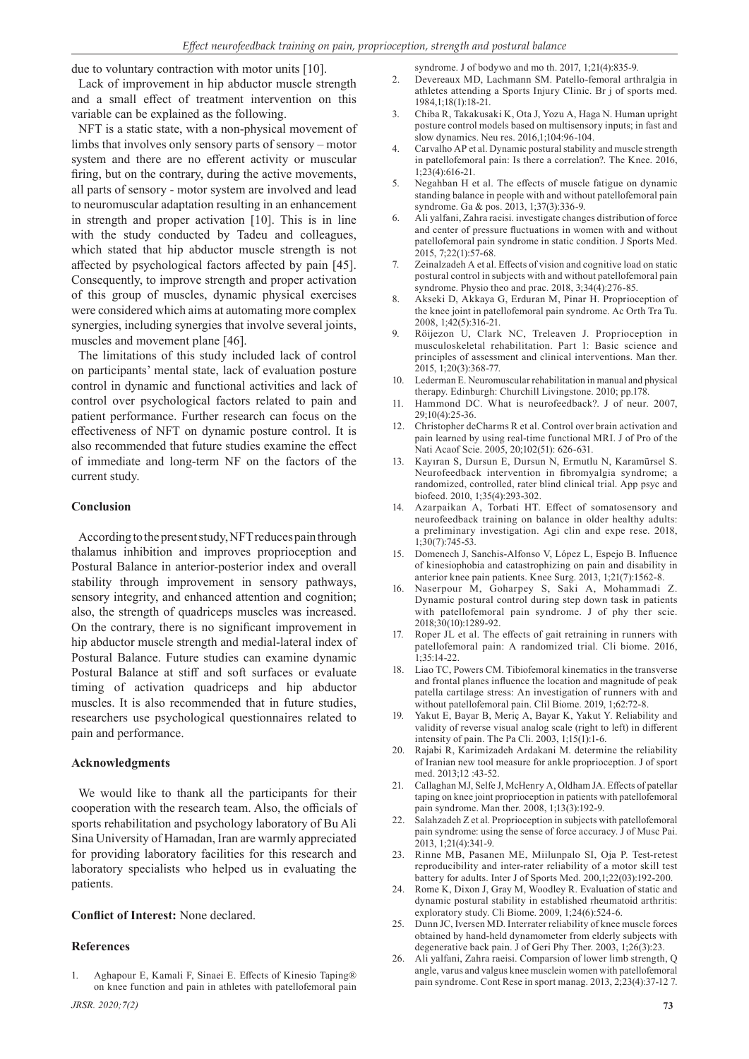due to voluntary contraction with motor units [10].

Lack of improvement in hip abductor muscle strength and a small effect of treatment intervention on this variable can be explained as the following.

NFT is a static state, with a non-physical movement of limbs that involves only sensory parts of sensory – motor system and there are no efferent activity or muscular firing, but on the contrary, during the active movements, all parts of sensory - motor system are involved and lead to neuromuscular adaptation resulting in an enhancement in strength and proper activation [10]. This is in line with the study conducted by Tadeu and colleagues, which stated that hip abductor muscle strength is not affected by psychological factors affected by pain [45]. Consequently, to improve strength and proper activation of this group of muscles, dynamic physical exercises were considered which aims at automating more complex synergies, including synergies that involve several joints, muscles and movement plane [46].

The limitations of this study included lack of control on participants' mental state, lack of evaluation posture control in dynamic and functional activities and lack of control over psychological factors related to pain and patient performance. Further research can focus on the effectiveness of NFT on dynamic posture control. It is also recommended that future studies examine the effect of immediate and long-term NF on the factors of the current study.

#### **Conclusion**

According to the present study, NFT reduces pain through thalamus inhibition and improves proprioception and Postural Balance in anterior-posterior index and overall stability through improvement in sensory pathways, sensory integrity, and enhanced attention and cognition; also, the strength of quadriceps muscles was increased. On the contrary, there is no significant improvement in hip abductor muscle strength and medial-lateral index of Postural Balance. Future studies can examine dynamic Postural Balance at stiff and soft surfaces or evaluate timing of activation quadriceps and hip abductor muscles. It is also recommended that in future studies, researchers use psychological questionnaires related to pain and performance.

#### **Acknowledgments**

We would like to thank all the participants for their cooperation with the research team. Also, the officials of sports rehabilitation and psychology laboratory of Bu Ali Sina University of Hamadan, Iran are warmly appreciated for providing laboratory facilities for this research and laboratory specialists who helped us in evaluating the patients.

#### **Conflict of Interest:** None declared.

#### **References**

1. Aghapour E, Kamali F, Sinaei E. Effects of Kinesio Taping® on knee function and pain in athletes with patellofemoral pain syndrome. J of bodywo and mo th. 2017, 1;21(4):835-9.

- 2. Devereaux MD, Lachmann SM. Patello-femoral arthralgia in athletes attending a Sports Injury Clinic. Br j of sports med. 1984,1;18(1):18-21.
- 3. Chiba R, Takakusaki K, Ota J, Yozu A, Haga N. Human upright posture control models based on multisensory inputs; in fast and slow dynamics. Neu res. 2016,1;104:96-104.
- 4. Carvalho AP et al. Dynamic postural stability and muscle strength in patellofemoral pain: Is there a correlation?. The Knee. 2016, 1;23(4):616-21.
- 5. Negahban H et al. The effects of muscle fatigue on dynamic standing balance in people with and without patellofemoral pain syndrome. Ga & pos. 2013, 1;37(3):336-9.
- 6. Ali yalfani, Zahra raeisi. investigate changes distribution of force and center of pressure fluctuations in women with and without patellofemoral pain syndrome in static condition. J Sports Med. 2015, 7;22(1):57-68.
- 7. Zeinalzadeh A et al. Effects of vision and cognitive load on static postural control in subjects with and without patellofemoral pain syndrome. Physio theo and prac. 2018, 3;34(4):276-85.
- 8. Akseki D, Akkaya G, Erduran M, Pinar H. Proprioception of the knee joint in patellofemoral pain syndrome. Ac Orth Tra Tu. 2008, 1;42(5):316-21.
- 9. Röijezon U, Clark NC, Treleaven J. Proprioception in musculoskeletal rehabilitation. Part 1: Basic science and principles of assessment and clinical interventions. Man ther. 2015, 1;20(3):368-77.
- 10. Lederman E. Neuromuscular rehabilitation in manual and physical therapy. Edinburgh: Churchill Livingstone. 2010; pp.178.
- 11. Hammond DC. What is neurofeedback?. J of neur. 2007, 29;10(4):25-36.
- 12. Christopher deCharms R et al. Control over brain activation and pain learned by using real-time functional MRI. J of Pro of the Nati Acaof Scie. 2005, 20;102(51): 626-631.
- 13. Kayıran S, Dursun E, Dursun N, Ermutlu N, Karamürsel S. Neurofeedback intervention in fibromyalgia syndrome; a randomized, controlled, rater blind clinical trial. App psyc and biofeed. 2010, 1;35(4):293-302.
- 14. Azarpaikan A, Torbati HT. Effect of somatosensory and neurofeedback training on balance in older healthy adults: a preliminary investigation. Agi clin and expe rese. 2018, 1;30(7):745-53.
- 15. Domenech J, Sanchis-Alfonso V, López L, Espejo B. Influence of kinesiophobia and catastrophizing on pain and disability in anterior knee pain patients. Knee Surg. 2013, 1;21(7):1562-8.
- 16. Naserpour M, Goharpey S, Saki A, Mohammadi Z. Dynamic postural control during step down task in patients with patellofemoral pain syndrome. J of phy ther scie. 2018;30(10):1289-92.
- Roper JL et al. The effects of gait retraining in runners with patellofemoral pain: A randomized trial. Cli biome. 2016,  $1.35.14.22$
- 18. Liao TC, Powers CM. Tibiofemoral kinematics in the transverse and frontal planes influence the location and magnitude of peak patella cartilage stress: An investigation of runners with and without patellofemoral pain. Clil Biome. 2019, 1;62:72-8.
- Yakut E, Bayar B, Meriç A, Bayar K, Yakut Y. Reliability and validity of reverse visual analog scale (right to left) in different intensity of pain. The Pa Cli. 2003, 1;15(1):1-6.
- 20. Rajabi R, Karimizadeh Ardakani M. determine the reliability of Iranian new tool measure for ankle proprioception. J of sport med. 2013;12 :43-52.
- 21. Callaghan MJ, Selfe J, McHenry A, Oldham JA. Effects of patellar taping on knee joint proprioception in patients with patellofemoral pain syndrome. Man ther. 2008, 1;13(3):192-9.
- 22. Salahzadeh Z et al. Proprioception in subjects with patellofemoral pain syndrome: using the sense of force accuracy. J of Musc Pai. 2013, 1;21(4):341-9.
- 23. Rinne MB, Pasanen ME, Miilunpalo SI, Oja P. Test-retest reproducibility and inter-rater reliability of a motor skill test battery for adults. Inter J of Sports Med. 200,1;22(03):192-200.
- 24. Rome K, Dixon J, Gray M, Woodley R. Evaluation of static and dynamic postural stability in established rheumatoid arthritis: exploratory study. Cli Biome. 2009, 1;24(6):524-6.
- 25. Dunn JC, Iversen MD. Interrater reliability of knee muscle forces obtained by hand-held dynamometer from elderly subjects with degenerative back pain. J of Geri Phy Ther. 2003, 1;26(3):23.
- 26. Ali yalfani, Zahra raeisi. Comparsion of lower limb strength, Q angle, varus and valgus knee musclein women with patellofemoral pain syndrome. Cont Rese in sport manag. 2013, 2;23(4):37-12 7.